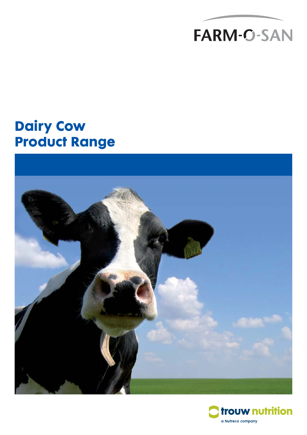

# **Dairy Cow Product Range**



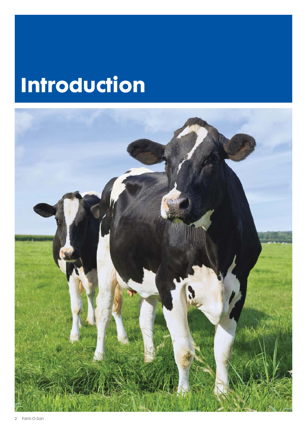# **Introduction**

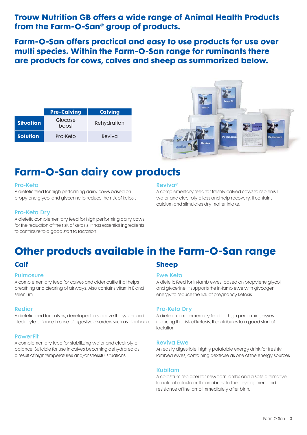**Trouw Nutrition GB offers a wide range of Animal Health Products from the Farm-O-San® group of products.**

**Farm-O-San offers practical and easy to use products for use over multi species. Within the Farm-O-San range for ruminants there are products for cows, calves and sheep as summarized below.**

|                  | <b>Pre-Calving</b> | <b>Calving</b> |  |
|------------------|--------------------|----------------|--|
| <b>Situation</b> | Glucose<br>boost   | Rehydration    |  |
| <b>Solution</b>  | Pro-Keto           | Reviva         |  |



# **Farm-O-San dairy cow products**

#### Pro-Keto

A dietetic feed for high performing dairy cows based on propylene glycol and glycerine to reduce the risk of ketosis.

#### Pro-Keto Dry

A dietetic complementary feed for high performing dairy cows for the reduction of the risk of ketosis. It has essential ingredients to contribute to a good start to lactation.

#### Reviva®

A complementary feed for freshly calved cows to replenish water and electrolyte loss and help recovery. It contains calcium and stimulates dry matter intake.

# **Other products available in the Farm-O-San range**

### **Calf**

#### **Pulmosure**

A complementary feed for calves and older cattle that helps breathing and clearing of airways. Also contains vitamin E and selenium.

#### Rediar

A dietetic feed for calves, developed to stabilize the water and electrolyte balance in case of digestive disorders such as diarrhoea.

#### **PowerFit**

A complementary feed for stabilizing water and electrolyte balance. Suitable for use in calves becoming dehydrated as a result of high temperatures and/or stressful situations.

### **Sheep**

#### Ewe Keto

A dietetic feed for in-lamb ewes, based on propylene glycol and glycerine. It supports the in-lamb ewe with glycogen energy to reduce the risk of pregnancy ketosis.

#### Pro-Keto Dry

A dietetic complementary feed for high performing ewes reducing the risk of ketosis. It contributes to a good start of lactation.

#### Reviva Ewe

An easily digestible, highly palatable energy drink for freshly lambed ewes, containing dextrose as one of the energy sources.

#### Kubilam

A colostrum replacer for newborn lambs and a safe alternative to natural colostrum. It contributes to the development and resistance of the lamb immediately after birth.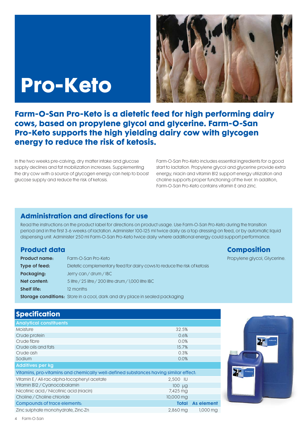# **Pro-Keto**



**Farm-O-San Pro-Keto is a dietetic feed for high performing dairy cows, based on propylene glycol and glycerine. Farm-O-San Pro-Keto supports the high yielding dairy cow with glycogen energy to reduce the risk of ketosis.**

In the two weeks pre-calving, dry matter intake and glucose supply declines and fat mobilization increases. Supplementing the dry cow with a source of glycogen energy can help to boost glucose supply and reduce the risk of ketosis.

Farm-O-San Pro-Keto includes essential ingredients for a good start to lactation. Propylene glycol and glycerine provide extra energy, niacin and vitamin B12 support energy utilization and choline supports proper functioning of the liver. In addition, Farm-O-San Pro-Keto contains vitamin E and zinc.

## **Administration and directions for use**

Read the instructions on the product label for directions on product usage. Use Farm-O-San Pro-Keto during the transition period and in the first 3-6 weeks of lactation. Administer 100-125 ml twice daily as a top dressing on feed, or by automatic liquid dispensing unit. Administer 250 ml Farm-O-San Pro-Keto twice daily where additional energy could support performance.

### **Product data**

| <b>Product name:</b> | Farm-O-San Pro-Keto                                                                |
|----------------------|------------------------------------------------------------------------------------|
| Type of feed:        | Dietetic complementary feed for dairy cows to reduce the risk of ketosis           |
| Packaging:           | Jerry can / drum / IBC                                                             |
| Net content:         | 5 litre / 25 litre / 200 litre drum / 1,000 litre IBC                              |
| <b>Shelf life:</b>   | 12 months                                                                          |
|                      | <b>Storage conditions:</b> Store in a cool, dark and dry place in sealed packaging |

| <b>Specification</b>                                                                 |              |                       |
|--------------------------------------------------------------------------------------|--------------|-----------------------|
| <b>Analytical constituents</b>                                                       |              |                       |
| Moisture                                                                             | 32.5%        |                       |
| Crude protein                                                                        | 0.6%         |                       |
| Crude fibre                                                                          | 0.0%         |                       |
| Crude oils and fats                                                                  | 15.7%        |                       |
| Crude ash                                                                            | 0.3%         |                       |
| Sodium                                                                               | 0.0%         |                       |
| <b>Additives per kg</b>                                                              |              |                       |
| Vitamins, pro-vitamins and chemically well-defined substances having similar effect: |              |                       |
| Vitamin E / All-rac-alpha-tocopheryl acetate                                         | 2,500 IU     |                       |
| Vitamin B12 / Cyanocobalamin                                                         | 100 µg       |                       |
| Nicotinic acid / Nicotinic acid (niacin)                                             | 7,425 mg     |                       |
| Choline / Choline chloride                                                           | 10,000 mg    |                       |
| Compounds of trace elements:                                                         | <b>Total</b> | As element            |
| Zinc sulphate monohydrate, Zinc-Zn                                                   | 2,860 mg     | $1,000 \,\mathrm{mg}$ |



**Composition**

Propylene glycol, Glycerine.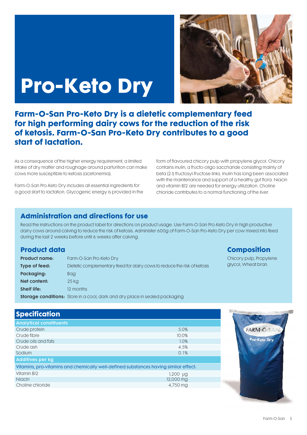# **Pro-Keto Dry**



**Farm-O-San Pro-Keto Dry is a dietetic complementary feed for high performing dairy cows for the reduction of the risk of ketosis. Farm-O-San Pro-Keto Dry contributes to a good start of lactation.**

As a consequence of the higher energy requirement, a limited intake of dry matter and roughage around parturition can make cows more susceptible to ketosis (acetonemia).

Farm-O-San Pro-Keto Dry includes all essential ingredients for a good start to lactation. Glycogenic energy is provided in the

form of flavoured chicory pulp with propylene glycol. Chicory contains inulin, a fructo-oligo saccharide consisting mainly of beta (2-1) fructosyl-fructose links. Inulin has long been associated with the maintenance and support of a healthy gut flora. Niacin and vitamin B12 are needed for energy utilization. Choline chloride contributes to a normal functioning of the liver.

## **Administration and directions for use**

Read the instructions on the product label for directions on product usage. Use Farm-O-San Pro-Keto Dry in high productive dairy cows around calving to reduce the risk of ketosis. Administer 600g of Farm-O-San Pro-Keto Dry per cow mixed into feed during the last 2 weeks before until 6 weeks after calving.

### **Product data**

| <b>Product name:</b> | Farm-O-San Pro-Keto Dry                                                            |
|----------------------|------------------------------------------------------------------------------------|
| Type of feed:        | Dietetic complementary feed for dairy cows to reduce the risk of ketosis           |
| Packaging:           | <b>Bag</b>                                                                         |
| Net content:         | 25 kg                                                                              |
| <b>Shelf life:</b>   | 12 months                                                                          |
|                      | <b>Storage conditions:</b> Store in a cool, dark and dry place in sealed packaging |

## **Composition**

Chicory pulp, Propylene glycol, Wheat bran.

| <b>Specification</b>                                                                 |           |
|--------------------------------------------------------------------------------------|-----------|
| <b>Analytical constituents</b>                                                       |           |
| Crude protein                                                                        | 5.0%      |
| Crude fibre                                                                          | 10.0%     |
| Crude oils and fats                                                                  | 1.0%      |
| Crude ash                                                                            | 4.5%      |
| Sodium                                                                               | 0.1%      |
| <b>Additives per kg</b>                                                              |           |
| Vitamins, pro-vitamins and chemically well-defined substances having similar effect. |           |
| Vitamin B12                                                                          | 1,200 µg  |
| <b>Niacin</b>                                                                        | 12,000 mg |
| Choline chloride                                                                     | 4,750 mg  |

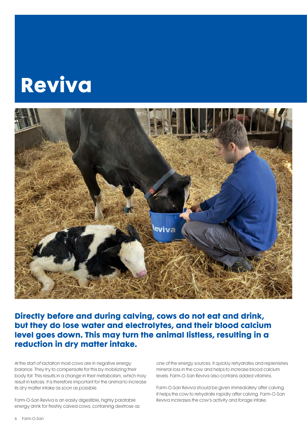# **Reviva**



**Directly before and during calving, cows do not eat and drink, but they do lose water and electrolytes, and their blood calcium level goes down. This may turn the animal listless, resulting in a reduction in dry matter intake.**

At the start of lactation most cows are in negative energy balance. They try to compensate for this by mobilizing their body fat. This results in a change in their metabolism, which may result in ketosis. It is therefore important for the animal to increase its dry matter intake as soon as possible.

Farm-O-San Reviva is an easily digestible, highly palatable energy drink for freshly calved cows, containing dextrose as one of the energy sources. It quickly rehydrates and replenishes mineral loss in the cow and helps to increase blood calcium levels. Farm-O-San Reviva also contains added vitamins.

Farm-O-San Reviva should be given immediately after calving. It helps the cow to rehydrate rapidly after calving. Farm-O-San Reviva increases the cow's activity and forage intake.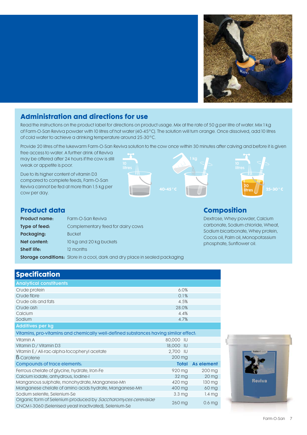

## **Administration and directions for use**

Read the instructions on the product label for directions on product usage. Mix at the rate of 50 g per litre of water. Mix 1 kg of Farm-O-San Reviva powder with 10 litres of hot water (40-45°C). The solution will turn orange. Once dissolved, add 10 litres of cold water to achieve a drinking temperature around 25-30°C.

Provide 20 litres of the lukewarm Farm-O-San Reviva solution to the cow once within 30 minutes after calving and before it is given

free access to water. A further drink of Reviva may be offered after 24 hours if the cow is still weak or appetite is poor.

Due to its higher content of vitamin D3 compared to complete feeds, Farm-O-San Reviva cannot be fed at more than 1.5 kg per cow per day.





### **Product data**

| <b>Product name:</b> | Farm-O-San Reviva                 |
|----------------------|-----------------------------------|
| Type of feed:        | Complementary feed for dairy cows |
| Packaging:           | <b>Bucket</b>                     |
| Net content:         | 10 kg and 20 kg buckets           |
| Shelf life:          | 12 months                         |
|                      |                                   |

# **Composition**

Dextrose, Whey powder, Calcium carbonate, Sodium chloride, Wheat, Sodium bicarbonate, Whey protein, Cocos oil, Palm oil, Monopotassium phosphate, Sunflower oil.

| <b>Storage conditions:</b> Store in a cool, dark and dry place in sealed packaging |  |  |
|------------------------------------------------------------------------------------|--|--|
|                                                                                    |  |  |

| <b>Specification</b>                                                                 |                 |                    |
|--------------------------------------------------------------------------------------|-----------------|--------------------|
| <b>Analytical constituents</b>                                                       |                 |                    |
| Crude protein                                                                        | 6.0%            |                    |
| Crude fibre                                                                          | 0.1%            |                    |
| Crude oils and fats                                                                  | 4.5%            |                    |
| Crude ash                                                                            | 28.0%           |                    |
| Calcium                                                                              | 4.4%            |                    |
| Sodium                                                                               | 4.7%            |                    |
| <b>Additives per kg</b>                                                              |                 |                    |
| Vitamins, pro-vitamins and chemically well-defined substances having similar effect. |                 |                    |
| Vitamin A                                                                            | 80,000 IU       |                    |
| Vitamin D / Vitamin D3                                                               | 18,000 IU       |                    |
| Vitamin E / All-rac-alpha-tocopheryl acetate                                         | 2,700 IU        |                    |
| <b>B</b> -Carotene                                                                   | $200$ mg        |                    |
| Compounds of trace elements:                                                         | <b>Total</b>    | <b>As element</b>  |
| Ferrous chelate of glycine, hydrate, Iron-Fe                                         | 920 mg          | $200$ mg           |
| Calcium iodate, anhydrous, lodine-I                                                  | $32 \text{ mg}$ | $20 \,\mathrm{mg}$ |
| Manganous sulphate, monohydrate, Manganese-Mn                                        | 420 mg          | 130 mg             |
| Manganese chelate of amino acids hydrate, Manganese-Mn                               | 400 mg          | 60 mg              |

Organic form of Selenium produced by Saccharomyces cerevisiae

Sodium selenite, Selenium-Se 3.3 mg 1.4 mg

CNCM I-3060 (Selenised yeast inactivated), Selenium-Se 260 mg 260 mg 0.6 mg